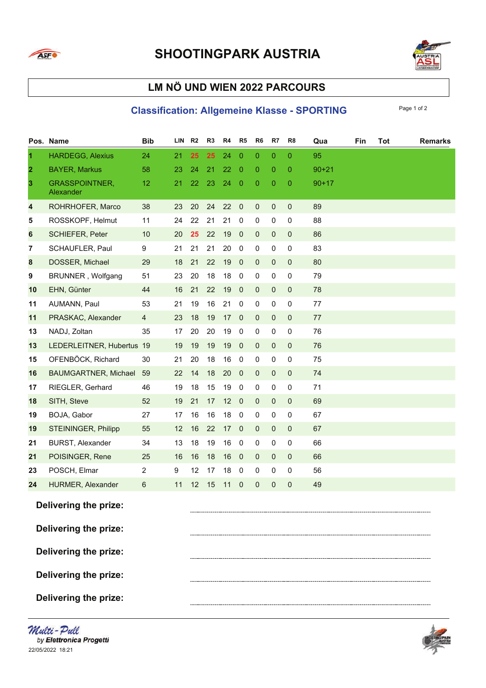



### **LM NÖ UND WIEN 2022 PARCOURS**

#### **Classification: Allgemeine Klasse - SPORTING** Page 1 of 2

|                         | Pos. Name                          | <b>Bib</b>     | LIN | R <sub>2</sub> | R <sub>3</sub> | R4 | R <sub>5</sub> | R6           | R7          | R <sub>8</sub> | Qua       | Fin | Tot | <b>Remarks</b> |
|-------------------------|------------------------------------|----------------|-----|----------------|----------------|----|----------------|--------------|-------------|----------------|-----------|-----|-----|----------------|
| $\blacktriangleleft$    | <b>HARDEGG, Alexius</b>            | 24             | 21  | 25             | 25             | 24 | $\mathbf{0}$   | $\pmb{0}$    | 0           | 0              | 95        |     |     |                |
| $\overline{\mathbf{2}}$ | <b>BAYER, Markus</b>               | 58             | 23  | 24             | 21             | 22 | $\mathbf 0$    | $\mathbf{0}$ | 0           | 0              | $90 + 21$ |     |     |                |
| 3                       | <b>GRASSPOINTNER,</b><br>Alexander | 12             | 21  | 22             | 23             | 24 | $\mathbf 0$    | $\pmb{0}$    | 0           | 0              | $90 + 17$ |     |     |                |
| 4                       | ROHRHOFER, Marco                   | 38             | 23  | 20             | 24             | 22 | $\mathbf 0$    | $\pmb{0}$    | 0           | $\pmb{0}$      | 89        |     |     |                |
| 5                       | ROSSKOPF, Helmut                   | 11             | 24  | 22             | 21             | 21 | 0              | 0            | 0           | 0              | 88        |     |     |                |
| 6                       | SCHIEFER, Peter                    | 10             | 20  | 25             | 22             | 19 | $\mathbf 0$    | $\pmb{0}$    | 0           | $\pmb{0}$      | 86        |     |     |                |
| 7                       | SCHAUFLER, Paul                    | 9              | 21  | 21             | 21             | 20 | $\mathbf 0$    | $\pmb{0}$    | 0           | 0              | 83        |     |     |                |
| 8                       | DOSSER, Michael                    | 29             | 18  | 21             | 22             | 19 | $\mathbf 0$    | $\mathbf 0$  | $\mathbf 0$ | $\mathbf 0$    | 80        |     |     |                |
| 9                       | BRUNNER, Wolfgang                  | 51             | 23  | 20             | 18             | 18 | 0              | $\pmb{0}$    | 0           | 0              | 79        |     |     |                |
| 10                      | EHN, Günter                        | 44             | 16  | 21             | 22             | 19 | $\mathbf 0$    | $\pmb{0}$    | 0           | $\pmb{0}$      | 78        |     |     |                |
| 11                      | AUMANN, Paul                       | 53             | 21  | 19             | 16             | 21 | 0              | $\pmb{0}$    | 0           | $\mathsf 0$    | 77        |     |     |                |
| 11                      | PRASKAC, Alexander                 | $\overline{4}$ | 23  | 18             | 19             | 17 | $\mathbf 0$    | $\pmb{0}$    | 0           | $\mathbf 0$    | 77        |     |     |                |
| 13                      | NADJ, Zoltan                       | 35             | 17  | 20             | 20             | 19 | $\mathbf 0$    | 0            | 0           | $\mathsf 0$    | 76        |     |     |                |
| 13                      | LEDERLEITNER, Hubertus 19          |                | 19  | 19             | 19             | 19 | $\mathbf 0$    | $\mathbf 0$  | $\mathbf 0$ | $\pmb{0}$      | 76        |     |     |                |
| 15                      | OFENBÖCK, Richard                  | 30             | 21  | 20             | 18             | 16 | 0              | 0            | 0           | 0              | 75        |     |     |                |
| 16                      | BAUMGARTNER, Michael               | 59             | 22  | 14             | 18             | 20 | $\mathbf 0$    | $\pmb{0}$    | 0           | $\pmb{0}$      | 74        |     |     |                |
| 17                      | RIEGLER, Gerhard                   | 46             | 19  | 18             | 15             | 19 | 0              | 0            | 0           | 0              | 71        |     |     |                |
| 18                      | SITH, Steve                        | 52             | 19  | 21             | 17             | 12 | $\overline{0}$ | $\pmb{0}$    | 0           | $\mathbf 0$    | 69        |     |     |                |
| 19                      | BOJA, Gabor                        | 27             | 17  | 16             | 16             | 18 | 0              | $\pmb{0}$    | 0           | 0              | 67        |     |     |                |
| 19                      | STEININGER, Philipp                | 55             | 12  | 16             | 22             | 17 | $\mathbf{0}$   | $\mathbf 0$  | $\mathbf 0$ | $\pmb{0}$      | 67        |     |     |                |
| 21                      | <b>BURST, Alexander</b>            | 34             | 13  | 18             | 19             | 16 | 0              | $\pmb{0}$    | 0           | 0              | 66        |     |     |                |
| 21                      | POISINGER, Rene                    | 25             | 16  | 16             | 18             | 16 | $\mathbf 0$    | $\mathbf 0$  | 0           | $\pmb{0}$      | 66        |     |     |                |
| 23                      | POSCH, Elmar                       | $\overline{2}$ | 9   | 12             | 17             | 18 | 0              | 0            | 0           | 0              | 56        |     |     |                |
| 24                      | HURMER, Alexander                  | 6              | 11  | 12             | 15             | 11 | 0              | 0            | 0           | 0              | 49        |     |     |                |
|                         | Delivering the prize:              |                |     |                |                |    |                |              |             |                |           |     |     |                |
|                         | Delivering the prize:              |                |     |                |                |    |                |              |             |                |           |     |     |                |
|                         | Delivering the prize:              |                |     |                |                |    |                |              |             |                |           |     |     |                |
|                         | Delivering the prize:              |                |     |                |                |    |                |              |             |                |           |     |     |                |
|                         | Delivering the prize:              |                |     |                |                |    |                |              |             |                |           |     |     |                |

Multi - Pull<br>by Elettronica Progetti 22/05/2022 18:21

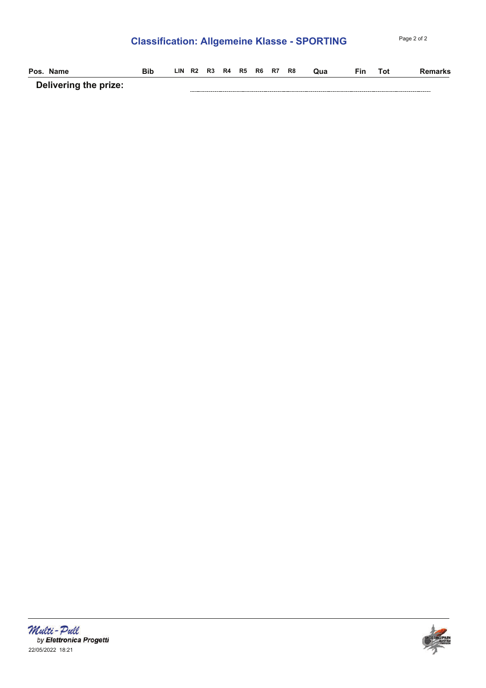| <b>Classification: Allgemeine Klasse - SPORTING</b> | Page 2 of 2 |
|-----------------------------------------------------|-------------|
|-----------------------------------------------------|-------------|

| Pos. Name             | <b>Bib</b> |  | $LIN$ R <sub>2</sub> R <sub>3</sub> | R4 R5 R6 R7 R8 |  | Qua | Fin | Tot | Remarks |
|-----------------------|------------|--|-------------------------------------|----------------|--|-----|-----|-----|---------|
| Delivering the prize: |            |  |                                     |                |  |     |     |     |         |



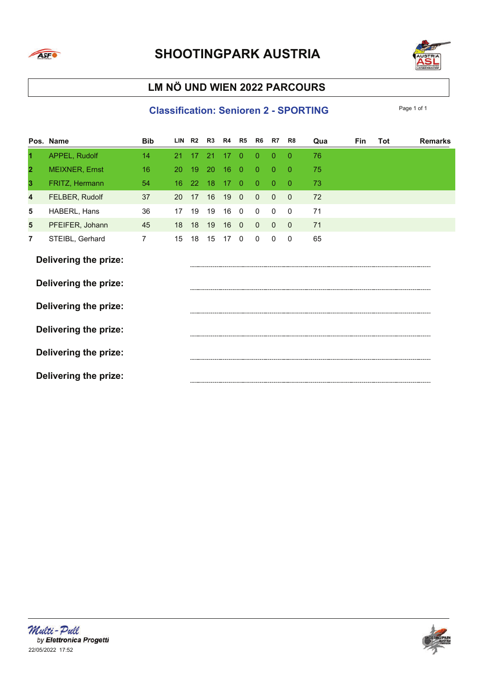



### **LM NÖ UND WIEN 2022 PARCOURS**

#### **Classification: Senioren 2 - SPORTING**

|                | Pos. Name             | <b>Bib</b>     | <b>LIN</b> | R <sub>2</sub> | R <sub>3</sub> | R4 | R <sub>5</sub> | R <sub>6</sub> | R7             | R8           | Qua | <b>Fin</b> | Tot | <b>Remarks</b> |
|----------------|-----------------------|----------------|------------|----------------|----------------|----|----------------|----------------|----------------|--------------|-----|------------|-----|----------------|
| 1              | APPEL, Rudolf         | 14             | 21         | 17             | 21             | 17 | $\theta$       | $\mathbf{0}$   | $\mathbf{0}$   | 0            | 76  |            |     |                |
| $\mathbf{2}$   | <b>MEIXNER, Ernst</b> | 16             | 20         | 19             | 20             | 16 | $\overline{0}$ | $\overline{0}$ | $\overline{0}$ | $\Omega$     | 75  |            |     |                |
| 3              | FRITZ, Hermann        | 54             | 16         | 22             | 18             | 17 | $\Omega$       | $\overline{0}$ | $\mathbf{0}$   | $\Omega$     | 73  |            |     |                |
| 4              | FELBER, Rudolf        | 37             | 20         | 17             | 16             | 19 | $\mathbf{0}$   | $\mathbf{0}$   | $\mathbf{0}$   | 0            | 72  |            |     |                |
| 5              | HABERL, Hans          | 36             | 17         | 19             | 19             | 16 | $\mathbf 0$    | 0              | $\mathbf 0$    | 0            | 71  |            |     |                |
| 5              | PFEIFER, Johann       | 45             | 18         | 18             | 19             | 16 | $\overline{0}$ | $\mathbf{0}$   | $\mathbf{0}$   | $\mathbf{0}$ | 71  |            |     |                |
| $\overline{7}$ | STEIBL, Gerhard       | $\overline{7}$ | 15         | 18             | 15             | 17 | $\mathbf 0$    | $\mathbf 0$    | $\mathbf 0$    | 0            | 65  |            |     |                |
|                | Delivering the prize: |                |            |                |                |    |                |                |                |              |     |            |     |                |
|                | Delivering the prize: |                |            |                |                |    |                |                |                |              |     |            |     |                |
|                | Delivering the prize: |                |            |                |                |    |                |                |                |              |     |            |     |                |
|                | Delivering the prize: |                |            |                |                |    |                |                |                |              |     |            |     |                |
|                | Delivering the prize: |                |            |                |                |    |                |                |                |              |     |            |     |                |
|                | Delivering the prize: |                |            |                |                |    |                |                |                |              |     |            |     |                |



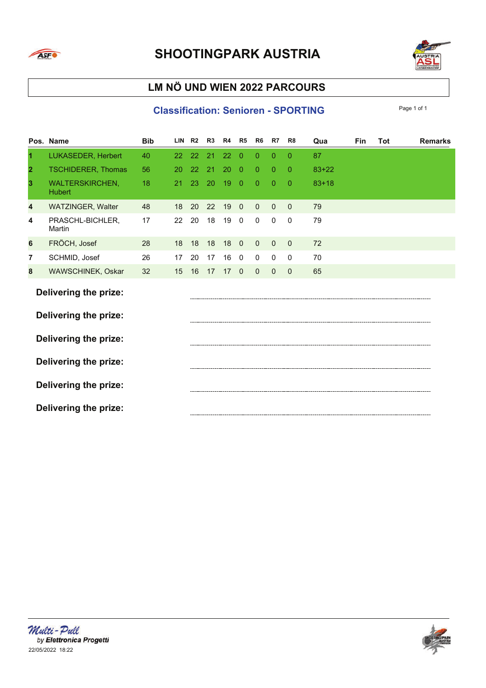



### **LM NÖ UND WIEN 2022 PARCOURS**

#### **Classification: Senioren - SPORTING**

|                       | Pos. Name                               | <b>Bib</b> | <b>LIN</b> | R <sub>2</sub> | R <sub>3</sub> | R4 | R <sub>5</sub> | R <sub>6</sub> | R7           | R8          | Qua       | Fin | <b>Tot</b> | <b>Remarks</b> |
|-----------------------|-----------------------------------------|------------|------------|----------------|----------------|----|----------------|----------------|--------------|-------------|-----------|-----|------------|----------------|
| 1                     | LUKASEDER, Herbert                      | 40         | 22         | 22             | 21             | 22 | $\theta$       | $\Omega$       | $\Omega$     | $\Omega$    | 87        |     |            |                |
| $\mathbf{2}$          | <b>TSCHIDERER, Thomas</b>               | 56         | 20         | 22             | 21             | 20 | $\overline{0}$ | $\mathbf{0}$   | $\mathbf{0}$ | $\theta$    | $83 + 22$ |     |            |                |
| 3                     | <b>WALTERSKIRCHEN,</b><br><b>Hubert</b> | 18         | 21         | 23             | 20             | 19 | $\theta$       | $\mathbf{0}$   | $\Omega$     | $\theta$    | $83 + 18$ |     |            |                |
| 4                     | WATZINGER, Walter                       | 48         | 18         | 20             | 22             | 19 | $\mathbf{0}$   | $\mathbf{0}$   | $\mathbf{0}$ | $\Omega$    | 79        |     |            |                |
| 4                     | PRASCHL-BICHLER,<br>Martin              | 17         | 22         | 20             | 18             | 19 | $\mathbf 0$    | $\mathbf 0$    | $\mathbf 0$  | 0           | 79        |     |            |                |
| $6\phantom{1}6$       | FRÖCH, Josef                            | 28         | 18         | 18             | 18             | 18 | $\mathbf{0}$   | $\mathbf{0}$   | $\mathbf{0}$ | $\mathbf 0$ | 72        |     |            |                |
| 7                     | SCHMID, Josef                           | 26         | 17         | 20             | 17             | 16 | $\mathbf 0$    | 0              | $\mathbf 0$  | $\mathbf 0$ | 70        |     |            |                |
| 8                     | WAWSCHINEK, Oskar                       | 32         | 15         | 16             | 17             | 17 | $\mathbf{0}$   | $\mathbf{0}$   | $\mathbf{0}$ | $\Omega$    | 65        |     |            |                |
| Delivering the prize: |                                         |            |            |                |                |    |                |                |              |             |           |     |            |                |
|                       | Delivering the prize:                   |            |            |                |                |    |                |                |              |             |           |     |            |                |
|                       | Delivering the prize:                   |            |            |                |                |    |                |                |              |             |           |     |            |                |
|                       | Delivering the prize:                   |            |            |                |                |    |                |                |              |             |           |     |            |                |
|                       | Delivering the prize:                   |            |            |                |                |    |                |                |              |             |           |     |            |                |
|                       | Delivering the prize:                   |            |            |                |                |    |                |                |              |             |           |     |            |                |



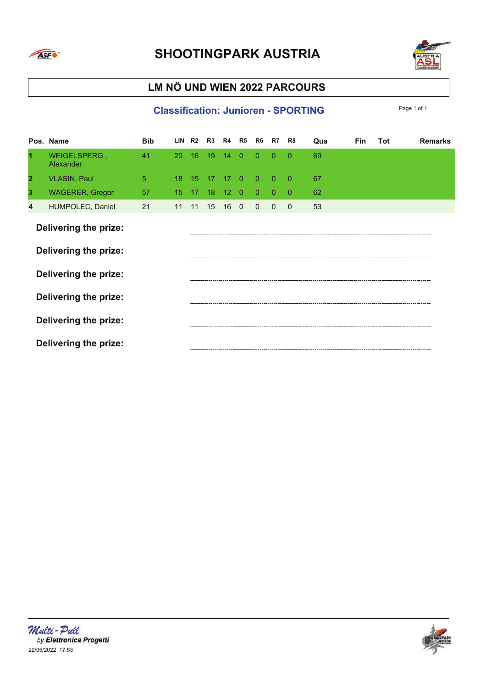



### **LM NÖ UND WIEN 2022 PARCOURS**

#### **Classification: Junioren - SPORTING**

|              | Pos. Name                 | <b>Bib</b>     | LIN | R2 | R3              | R4          | R5                      | R6             | R7             | R8           | Qua | <b>Fin</b> | Tot | <b>Remarks</b> |
|--------------|---------------------------|----------------|-----|----|-----------------|-------------|-------------------------|----------------|----------------|--------------|-----|------------|-----|----------------|
|              | WEIGELSPERG,<br>Alexander | 41             | 20  | 16 | 19 <sup>°</sup> | 14          | $\theta$                | $\Omega$       | $\Omega$       | $\Omega$     | 69  |            |     |                |
| $\mathbf{2}$ | <b>VLASIN, Paul</b>       | $\overline{5}$ | 18  | 15 | 17              | 17          | $\Omega$                | $\overline{0}$ | $\theta$       | $\Omega$     | 67  |            |     |                |
| 3            | <b>WAGERER, Gregor</b>    | 57             | 15  | 17 | 18 <sup>°</sup> | $12\quad 0$ |                         | $\overline{0}$ | $\overline{0}$ | $\mathbf{0}$ | 62  |            |     |                |
| 4            | HUMPOLEC, Daniel          | 21             | 11  | 11 | 15              | 16          | $\overline{\mathbf{0}}$ | $\mathbf{0}$   | $\Omega$       | $\Omega$     | 53  |            |     |                |
|              | Delivering the prize:     |                |     |    |                 |             |                         |                |                |              |     |            |     |                |
|              | Delivering the prize:     |                |     |    |                 |             |                         |                |                |              |     |            |     |                |
|              | Delivering the prize:     |                |     |    |                 |             |                         |                |                |              |     |            |     |                |
|              | Delivering the prize:     |                |     |    |                 |             |                         |                |                |              |     |            |     |                |
|              | Delivering the prize:     |                |     |    |                 |             |                         |                |                |              |     |            |     |                |
|              | Delivering the prize:     |                |     |    |                 |             |                         |                |                |              |     |            |     |                |